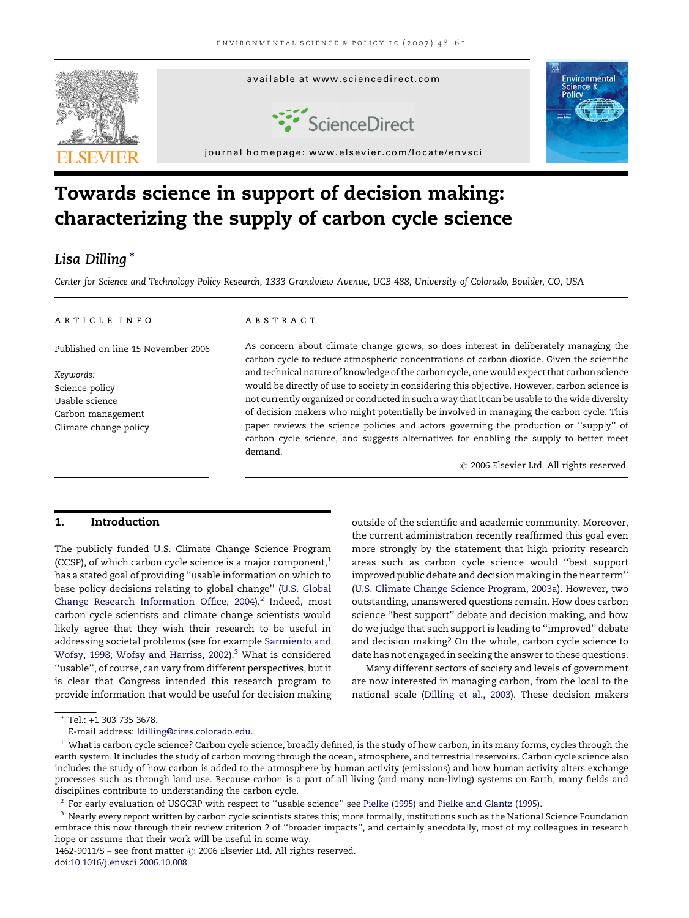

# Towards science in support of decision making: characterizing the supply of carbon cycle science

## Lisa Dilling \*

Center for Science and Technology Policy Research, 1333 Grandview Avenue, UCB 488, University of Colorado, Boulder, CO, USA

#### article info

Published on line 15 November 2006

Keywords: Science policy Usable science Carbon management Climate change policy

#### **ABSTRACT**

As concern about climate change grows, so does interest in deliberately managing the carbon cycle to reduce atmospheric concentrations of carbon dioxide. Given the scientific and technical nature of knowledge of the carbon cycle, one would expect that carbon science would be directly of use to society in considering this objective. However, carbon science is not currently organized or conducted in such a way that it can be usable to the wide diversity of decision makers who might potentially be involved in managing the carbon cycle. This paper reviews the science policies and actors governing the production or ''supply'' of carbon cycle science, and suggests alternatives for enabling the supply to better meet demand.

 $\odot$  2006 Elsevier Ltd. All rights reserved.

#### 1. Introduction

The publicly funded U.S. Climate Change Science Program (CCSP), of which carbon cycle science is a major component, $<sup>1</sup>$ </sup> has a stated goal of providing ''usable information on which to base policy decisions relating to global change'' [\(U.S. Global](#page-13-0) Change Research Information Office,  $2004$ <sup>2</sup> Indeed, most carbon cycle scientists and climate change scientists would likely agree that they wish their research to be useful in addressing societal problems (see for example [Sarmiento and](#page-12-0) [Wofsy, 1998; Wofsy and Harriss, 2002\)](#page-12-0).<sup>3</sup> What is considered ''usable'', of course, can vary from different perspectives, but it is clear that Congress intended this research program to provide information that would be useful for decision making outside of the scientific and academic community. Moreover, the current administration recently reaffirmed this goal even more strongly by the statement that high priority research areas such as carbon cycle science would ''best support improved public debate and decision making in the near term'' ([U.S. Climate Change Science Program, 2003a\)](#page-13-0). However, two outstanding, unanswered questions remain. How does carbon science ''best support'' debate and decision making, and how do we judge that such support is leading to ''improved'' debate and decision making? On the whole, carbon cycle science to date has not engaged in seeking the answer to these questions.

Many different sectors of society and levels of government are now interested in managing carbon, from the local to the national scale [\(Dilling et al., 2003\)](#page-11-0). These decision makers

<sup>2</sup> For early evaluation of USGCRP with respect to ''usable science'' see [Pielke \(1995\)](#page-12-0) and [Pielke and Glantz \(1995\).](#page-12-0)

<sup>\*</sup> Tel.: +1 303 735 3678.

E-mail address: [ldilling@cires.colorado.edu.](mailto:ldilling@cires.colorado.edu)

 $1$  What is carbon cycle science? Carbon cycle science, broadly defined, is the study of how carbon, in its many forms, cycles through the earth system. It includes the study of carbon moving through the ocean, atmosphere, and terrestrial reservoirs. Carbon cycle science also includes the study of how carbon is added to the atmosphere by human activity (emissions) and how human activity alters exchange processes such as through land use. Because carbon is a part of all living (and many non-living) systems on Earth, many fields and disciplines contribute to understanding the carbon cycle.

<sup>&</sup>lt;sup>3</sup> Nearly every report written by carbon cycle scientists states this; more formally, institutions such as the National Science Foundation embrace this now through their review criterion 2 of ''broader impacts'', and certainly anecdotally, most of my colleagues in research hope or assume that their work will be useful in some way.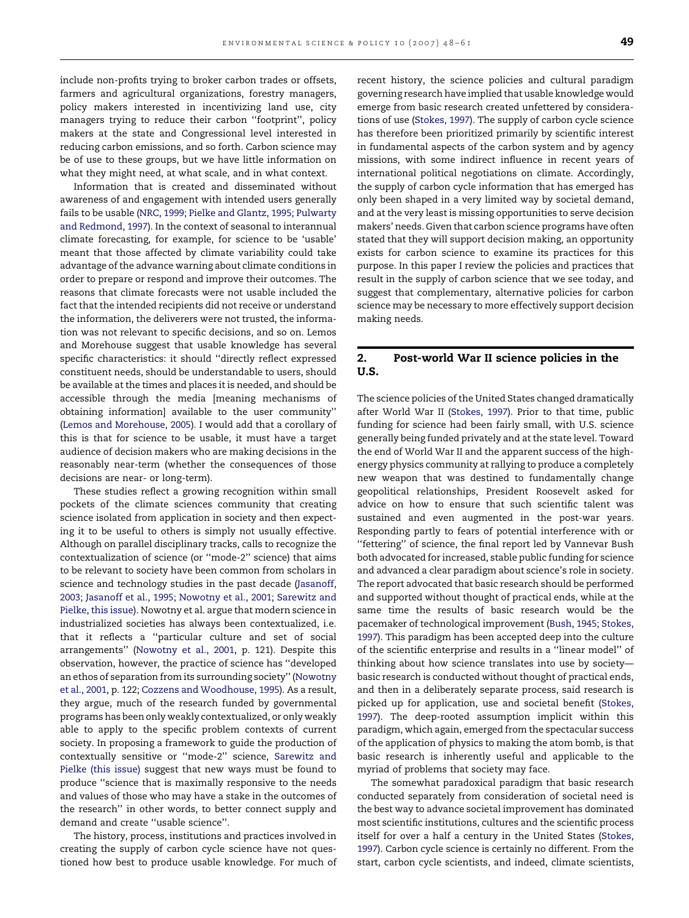include non-profits trying to broker carbon trades or offsets, farmers and agricultural organizations, forestry managers, policy makers interested in incentivizing land use, city managers trying to reduce their carbon ''footprint'', policy makers at the state and Congressional level interested in reducing carbon emissions, and so forth. Carbon science may be of use to these groups, but we have little information on what they might need, at what scale, and in what context.

Information that is created and disseminated without awareness of and engagement with intended users generally fails to be usable ([NRC, 1999; Pielke and Glantz, 1995; Pulwarty](#page-12-0) [and Redmond, 1997\)](#page-12-0). In the context of seasonal to interannual climate forecasting, for example, for science to be 'usable' meant that those affected by climate variability could take advantage of the advance warning about climate conditions in order to prepare or respond and improve their outcomes. The reasons that climate forecasts were not usable included the fact that the intended recipients did not receive or understand the information, the deliverers were not trusted, the information was not relevant to specific decisions, and so on. Lemos and Morehouse suggest that usable knowledge has several specific characteristics: it should ''directly reflect expressed constituent needs, should be understandable to users, should be available at the times and places it is needed, and should be accessible through the media [meaning mechanisms of obtaining information] available to the user community'' [\(Lemos and Morehouse, 2005](#page-12-0)). I would add that a corollary of this is that for science to be usable, it must have a target audience of decision makers who are making decisions in the reasonably near-term (whether the consequences of those decisions are near- or long-term).

These studies reflect a growing recognition within small pockets of the climate sciences community that creating science isolated from application in society and then expecting it to be useful to others is simply not usually effective. Although on parallel disciplinary tracks, calls to recognize the contextualization of science (or ''mode-2'' science) that aims to be relevant to society have been common from scholars in science and technology studies in the past decade [\(Jasanoff,](#page-11-0) [2003; Jasanoff et al., 1995; Nowotny et al., 2001; Sarewitz and](#page-11-0) [Pielke, this issue](#page-11-0)). Nowotny et al. argue that modern science in industrialized societies has always been contextualized, i.e. that it reflects a ''particular culture and set of social arrangements'' ([Nowotny et al., 2001,](#page-12-0) p. 121). Despite this observation, however, the practice of science has ''developed an ethos of separation from its surrounding society'' [\(Nowotny](#page-12-0) [et al., 2001](#page-12-0), p. 122; [Cozzens and Woodhouse, 1995\)](#page-11-0). As a result, they argue, much of the research funded by governmental programs has been only weakly contextualized, or only weakly able to apply to the specific problem contexts of current society. In proposing a framework to guide the production of contextually sensitive or ''mode-2'' science, [Sarewitz and](#page-12-0) [Pielke \(this issue\)](#page-12-0) suggest that new ways must be found to produce ''science that is maximally responsive to the needs and values of those who may have a stake in the outcomes of the research'' in other words, to better connect supply and demand and create ''usable science''.

The history, process, institutions and practices involved in creating the supply of carbon cycle science have not questioned how best to produce usable knowledge. For much of recent history, the science policies and cultural paradigm governing research have implied that usable knowledge would emerge from basic research created unfettered by considerations of use ([Stokes, 1997](#page-13-0)). The supply of carbon cycle science has therefore been prioritized primarily by scientific interest in fundamental aspects of the carbon system and by agency missions, with some indirect influence in recent years of international political negotiations on climate. Accordingly, the supply of carbon cycle information that has emerged has only been shaped in a very limited way by societal demand, and at the very least is missing opportunities to serve decision makers' needs. Given that carbon science programs have often stated that they will support decision making, an opportunity exists for carbon science to examine its practices for this purpose. In this paper I review the policies and practices that result in the supply of carbon science that we see today, and suggest that complementary, alternative policies for carbon science may be necessary to more effectively support decision making needs.

#### 2. Post-world War II science policies in the U.S.

The science policies of the United States changed dramatically after World War II [\(Stokes, 1997\)](#page-13-0). Prior to that time, public funding for science had been fairly small, with U.S. science generally being funded privately and at the state level. Toward the end of World War II and the apparent success of the highenergy physics community at rallying to produce a completely new weapon that was destined to fundamentally change geopolitical relationships, President Roosevelt asked for advice on how to ensure that such scientific talent was sustained and even augmented in the post-war years. Responding partly to fears of potential interference with or ''fettering'' of science, the final report led by Vannevar Bush both advocated for increased, stable public funding for science and advanced a clear paradigm about science's role in society. The report advocated that basic research should be performed and supported without thought of practical ends, while at the same time the results of basic research would be the pacemaker of technological improvement [\(Bush, 1945; Stokes,](#page-11-0) [1997](#page-11-0)). This paradigm has been accepted deep into the culture of the scientific enterprise and results in a ''linear model'' of thinking about how science translates into use by society basic research is conducted without thought of practical ends, and then in a deliberately separate process, said research is picked up for application, use and societal benefit [\(Stokes,](#page-13-0) [1997](#page-13-0)). The deep-rooted assumption implicit within this paradigm, which again, emerged from the spectacular success of the application of physics to making the atom bomb, is that basic research is inherently useful and applicable to the myriad of problems that society may face.

The somewhat paradoxical paradigm that basic research conducted separately from consideration of societal need is the best way to advance societal improvement has dominated most scientific institutions, cultures and the scientific process itself for over a half a century in the United States [\(Stokes,](#page-13-0) [1997](#page-13-0)). Carbon cycle science is certainly no different. From the start, carbon cycle scientists, and indeed, climate scientists,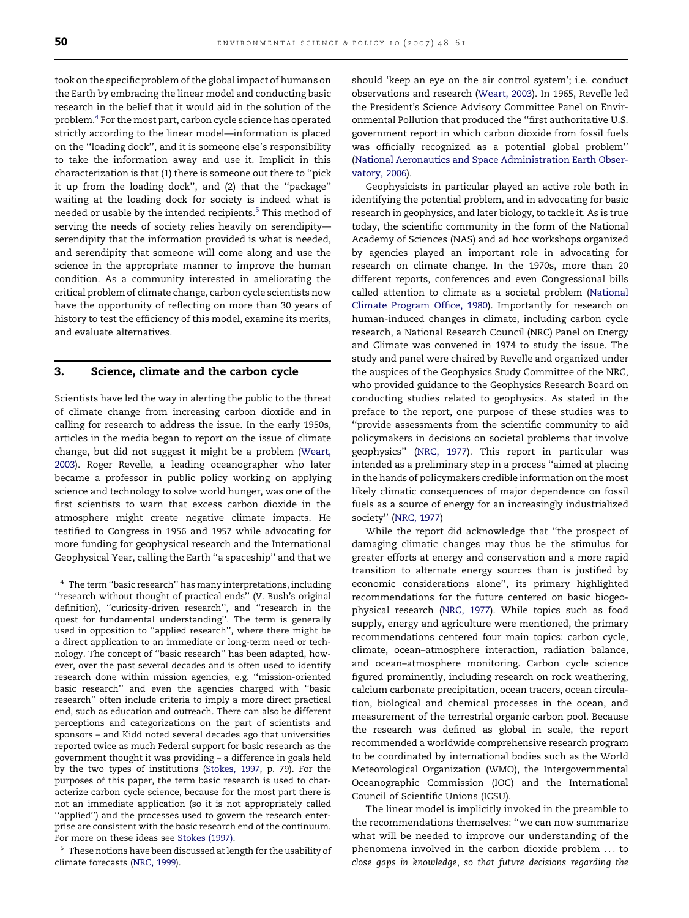took on the specific problem of the global impact of humans on the Earth by embracing the linear model and conducting basic research in the belief that it would aid in the solution of the problem.4 For the most part, carbon cycle science has operated strictly according to the linear model—information is placed on the ''loading dock'', and it is someone else's responsibility to take the information away and use it. Implicit in this characterization is that (1) there is someone out there to ''pick it up from the loading dock'', and (2) that the ''package'' waiting at the loading dock for society is indeed what is needed or usable by the intended recipients.<sup>5</sup> This method of serving the needs of society relies heavily on serendipity serendipity that the information provided is what is needed, and serendipity that someone will come along and use the science in the appropriate manner to improve the human condition. As a community interested in ameliorating the critical problem of climate change, carbon cycle scientists now have the opportunity of reflecting on more than 30 years of history to test the efficiency of this model, examine its merits, and evaluate alternatives.

#### 3. Science, climate and the carbon cycle

Scientists have led the way in alerting the public to the threat of climate change from increasing carbon dioxide and in calling for research to address the issue. In the early 1950s, articles in the media began to report on the issue of climate change, but did not suggest it might be a problem [\(Weart,](#page-13-0) [2003\)](#page-13-0). Roger Revelle, a leading oceanographer who later became a professor in public policy working on applying science and technology to solve world hunger, was one of the first scientists to warn that excess carbon dioxide in the atmosphere might create negative climate impacts. He testified to Congress in 1956 and 1957 while advocating for more funding for geophysical research and the International Geophysical Year, calling the Earth ''a spaceship'' and that we

<sup>5</sup> These notions have been discussed at length for the usability of climate forecasts [\(NRC, 1999](#page-12-0)).

should 'keep an eye on the air control system'; i.e. conduct observations and research [\(Weart, 2003](#page-13-0)). In 1965, Revelle led the President's Science Advisory Committee Panel on Environmental Pollution that produced the ''first authoritative U.S. government report in which carbon dioxide from fossil fuels was officially recognized as a potential global problem'' ([National Aeronautics and Space Administration Earth Obser](#page-12-0)[vatory, 2006\)](#page-12-0).

Geophysicists in particular played an active role both in identifying the potential problem, and in advocating for basic research in geophysics, and later biology, to tackle it. As is true today, the scientific community in the form of the National Academy of Sciences (NAS) and ad hoc workshops organized by agencies played an important role in advocating for research on climate change. In the 1970s, more than 20 different reports, conferences and even Congressional bills called attention to climate as a societal problem ([National](#page-12-0) [Climate Program Office, 1980\)](#page-12-0). Importantly for research on human-induced changes in climate, including carbon cycle research, a National Research Council (NRC) Panel on Energy and Climate was convened in 1974 to study the issue. The study and panel were chaired by Revelle and organized under the auspices of the Geophysics Study Committee of the NRC, who provided guidance to the Geophysics Research Board on conducting studies related to geophysics. As stated in the preface to the report, one purpose of these studies was to ''provide assessments from the scientific community to aid policymakers in decisions on societal problems that involve geophysics'' ([NRC, 1977\)](#page-12-0). This report in particular was intended as a preliminary step in a process ''aimed at placing in the hands of policymakers credible information on the most likely climatic consequences of major dependence on fossil fuels as a source of energy for an increasingly industrialized society'' [\(NRC, 1977\)](#page-12-0)

While the report did acknowledge that ''the prospect of damaging climatic changes may thus be the stimulus for greater efforts at energy and conservation and a more rapid transition to alternate energy sources than is justified by economic considerations alone'', its primary highlighted recommendations for the future centered on basic biogeophysical research [\(NRC, 1977\)](#page-12-0). While topics such as food supply, energy and agriculture were mentioned, the primary recommendations centered four main topics: carbon cycle, climate, ocean–atmosphere interaction, radiation balance, and ocean–atmosphere monitoring. Carbon cycle science figured prominently, including research on rock weathering, calcium carbonate precipitation, ocean tracers, ocean circulation, biological and chemical processes in the ocean, and measurement of the terrestrial organic carbon pool. Because the research was defined as global in scale, the report recommended a worldwide comprehensive research program to be coordinated by international bodies such as the World Meteorological Organization (WMO), the Intergovernmental Oceanographic Commission (IOC) and the International Council of Scientific Unions (ICSU).

The linear model is implicitly invoked in the preamble to the recommendations themselves: ''we can now summarize what will be needed to improve our understanding of the phenomena involved in the carbon dioxide problem ... to close gaps in knowledge, so that future decisions regarding the

<sup>4</sup> The term ''basic research'' has many interpretations, including ''research without thought of practical ends'' (V. Bush's original definition), ''curiosity-driven research'', and ''research in the quest for fundamental understanding''. The term is generally used in opposition to ''applied research'', where there might be a direct application to an immediate or long-term need or technology. The concept of ''basic research'' has been adapted, however, over the past several decades and is often used to identify research done within mission agencies, e.g. ''mission-oriented basic research'' and even the agencies charged with ''basic research'' often include criteria to imply a more direct practical end, such as education and outreach. There can also be different perceptions and categorizations on the part of scientists and sponsors – and Kidd noted several decades ago that universities reported twice as much Federal support for basic research as the government thought it was providing – a difference in goals held by the two types of institutions ([Stokes, 1997,](#page-13-0) p. 79). For the purposes of this paper, the term basic research is used to characterize carbon cycle science, because for the most part there is not an immediate application (so it is not appropriately called ''applied'') and the processes used to govern the research enterprise are consistent with the basic research end of the continuum. For more on these ideas see [Stokes \(1997\)](#page-13-0).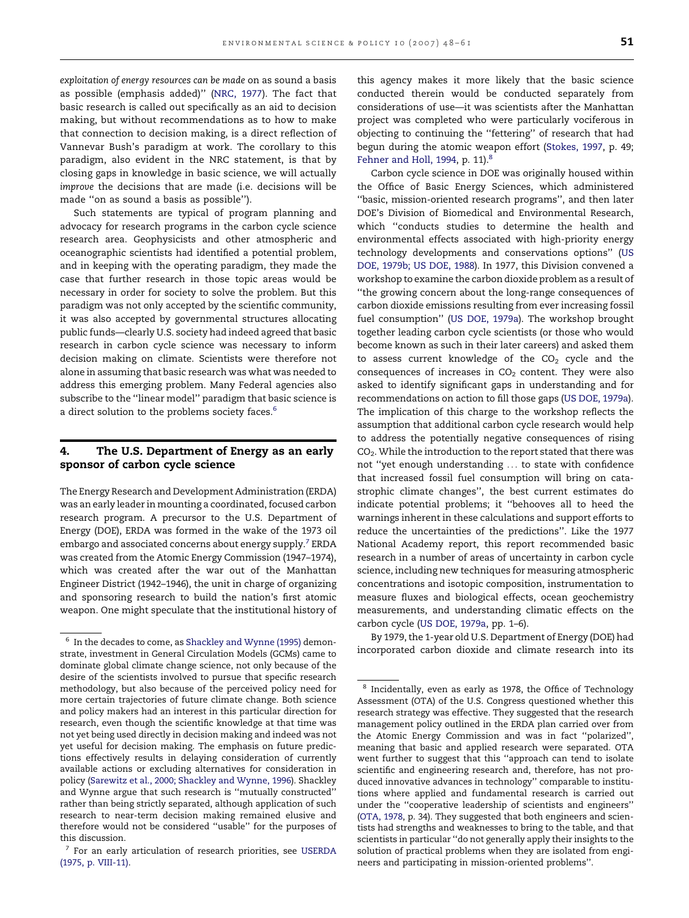exploitation of energy resources can be made on as sound a basis as possible (emphasis added)'' ([NRC, 1977\)](#page-12-0). The fact that basic research is called out specifically as an aid to decision making, but without recommendations as to how to make that connection to decision making, is a direct reflection of Vannevar Bush's paradigm at work. The corollary to this paradigm, also evident in the NRC statement, is that by closing gaps in knowledge in basic science, we will actually improve the decisions that are made (i.e. decisions will be made ''on as sound a basis as possible'').

Such statements are typical of program planning and advocacy for research programs in the carbon cycle science research area. Geophysicists and other atmospheric and oceanographic scientists had identified a potential problem, and in keeping with the operating paradigm, they made the case that further research in those topic areas would be necessary in order for society to solve the problem. But this paradigm was not only accepted by the scientific community, it was also accepted by governmental structures allocating public funds—clearly U.S. society had indeed agreed that basic research in carbon cycle science was necessary to inform decision making on climate. Scientists were therefore not alone in assuming that basic research was what was needed to address this emerging problem. Many Federal agencies also subscribe to the ''linear model'' paradigm that basic science is a direct solution to the problems society faces.<sup>6</sup>

## 4. The U.S. Department of Energy as an early sponsor of carbon cycle science

The Energy Research and Development Administration (ERDA) was an early leader in mounting a coordinated, focused carbon research program. A precursor to the U.S. Department of Energy (DOE), ERDA was formed in the wake of the 1973 oil embargo and associated concerns about energy supply.<sup>7</sup> ERDA was created from the Atomic Energy Commission (1947–1974), which was created after the war out of the Manhattan Engineer District (1942–1946), the unit in charge of organizing and sponsoring research to build the nation's first atomic weapon. One might speculate that the institutional history of

this agency makes it more likely that the basic science conducted therein would be conducted separately from considerations of use—it was scientists after the Manhattan project was completed who were particularly vociferous in objecting to continuing the ''fettering'' of research that had begun during the atomic weapon effort [\(Stokes, 1997](#page-13-0), p. 49; [Fehner and Holl, 1994,](#page-11-0) p. 11).<sup>8</sup>

Carbon cycle science in DOE was originally housed within the Office of Basic Energy Sciences, which administered ''basic, mission-oriented research programs'', and then later DOE's Division of Biomedical and Environmental Research, which ''conducts studies to determine the health and environmental effects associated with high-priority energy technology developments and conservations options'' [\(US](#page-13-0) [DOE, 1979b; US DOE, 1988](#page-13-0)). In 1977, this Division convened a workshop to examine the carbon dioxide problem as a result of ''the growing concern about the long-range consequences of carbon dioxide emissions resulting from ever increasing fossil fuel consumption'' ([US DOE, 1979a](#page-13-0)). The workshop brought together leading carbon cycle scientists (or those who would become known as such in their later careers) and asked them to assess current knowledge of the  $CO<sub>2</sub>$  cycle and the consequences of increases in  $CO<sub>2</sub>$  content. They were also asked to identify significant gaps in understanding and for recommendations on action to fill those gaps ([US DOE, 1979a](#page-13-0)). The implication of this charge to the workshop reflects the assumption that additional carbon cycle research would help to address the potentially negative consequences of rising CO2. While the introduction to the report stated that there was not ''yet enough understanding ... to state with confidence that increased fossil fuel consumption will bring on catastrophic climate changes'', the best current estimates do indicate potential problems; it ''behooves all to heed the warnings inherent in these calculations and support efforts to reduce the uncertainties of the predictions''. Like the 1977 National Academy report, this report recommended basic research in a number of areas of uncertainty in carbon cycle science, including new techniques for measuring atmospheric concentrations and isotopic composition, instrumentation to measure fluxes and biological effects, ocean geochemistry measurements, and understanding climatic effects on the carbon cycle [\(US DOE, 1979a](#page-13-0), pp. 1–6).

By 1979, the 1-year old U.S. Department of Energy (DOE) had incorporated carbon dioxide and climate research into its

 $6$  In the decades to come, as [Shackley and Wynne \(1995\)](#page-12-0) demonstrate, investment in General Circulation Models (GCMs) came to dominate global climate change science, not only because of the desire of the scientists involved to pursue that specific research methodology, but also because of the perceived policy need for more certain trajectories of future climate change. Both science and policy makers had an interest in this particular direction for research, even though the scientific knowledge at that time was not yet being used directly in decision making and indeed was not yet useful for decision making. The emphasis on future predictions effectively results in delaying consideration of currently available actions or excluding alternatives for consideration in policy [\(Sarewitz et al., 2000; Shackley and Wynne, 1996\)](#page-12-0). Shackley and Wynne argue that such research is ''mutually constructed'' rather than being strictly separated, although application of such research to near-term decision making remained elusive and therefore would not be considered ''usable'' for the purposes of this discussion.

 $^7$  For an early articulation of research priorities, see [USERDA](#page-13-0) [\(1975, p. VIII-11\)](#page-13-0).

<sup>8</sup> Incidentally, even as early as 1978, the Office of Technology Assessment (OTA) of the U.S. Congress questioned whether this research strategy was effective. They suggested that the research management policy outlined in the ERDA plan carried over from the Atomic Energy Commission and was in fact ''polarized'', meaning that basic and applied research were separated. OTA went further to suggest that this ''approach can tend to isolate scientific and engineering research and, therefore, has not produced innovative advances in technology'' comparable to institutions where applied and fundamental research is carried out under the ''cooperative leadership of scientists and engineers'' [\(OTA, 1978](#page-12-0), p. 34). They suggested that both engineers and scientists had strengths and weaknesses to bring to the table, and that scientists in particular ''do not generally apply their insights to the solution of practical problems when they are isolated from engineers and participating in mission-oriented problems''.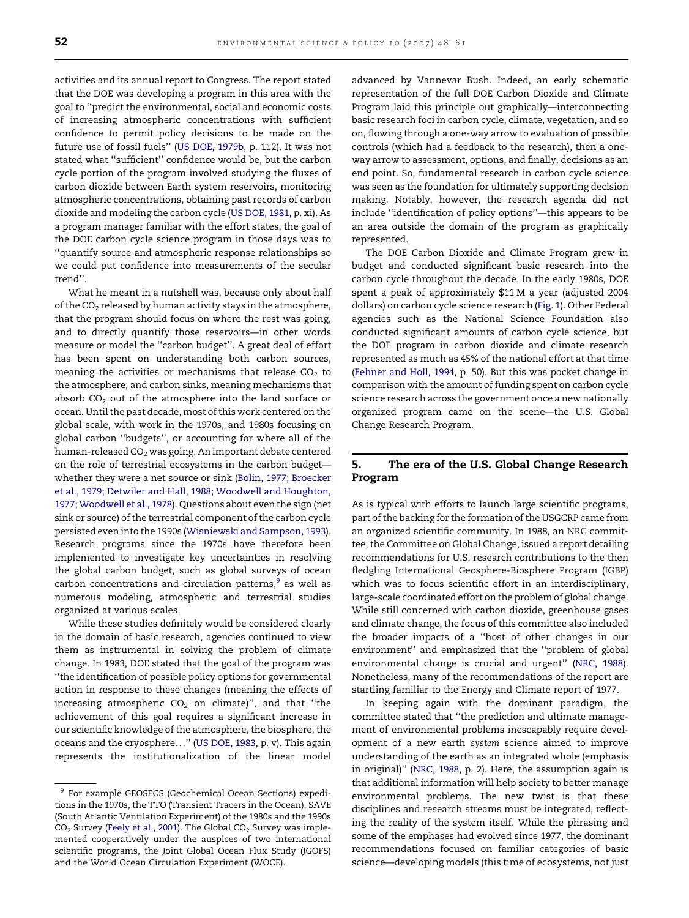activities and its annual report to Congress. The report stated that the DOE was developing a program in this area with the goal to ''predict the environmental, social and economic costs of increasing atmospheric concentrations with sufficient confidence to permit policy decisions to be made on the future use of fossil fuels'' [\(US DOE, 1979b,](#page-13-0) p. 112). It was not stated what ''sufficient'' confidence would be, but the carbon cycle portion of the program involved studying the fluxes of carbon dioxide between Earth system reservoirs, monitoring atmospheric concentrations, obtaining past records of carbon dioxide and modeling the carbon cycle [\(US DOE, 1981](#page-13-0), p. xi). As a program manager familiar with the effort states, the goal of the DOE carbon cycle science program in those days was to ''quantify source and atmospheric response relationships so we could put confidence into measurements of the secular trend''.

What he meant in a nutshell was, because only about half of the  $CO<sub>2</sub>$  released by human activity stays in the atmosphere, that the program should focus on where the rest was going, and to directly quantify those reservoirs—in other words measure or model the ''carbon budget''. A great deal of effort has been spent on understanding both carbon sources, meaning the activities or mechanisms that release  $CO<sub>2</sub>$  to the atmosphere, and carbon sinks, meaning mechanisms that absorb  $CO<sub>2</sub>$  out of the atmosphere into the land surface or ocean. Until the past decade, most of this work centered on the global scale, with work in the 1970s, and 1980s focusing on global carbon ''budgets'', or accounting for where all of the human-released CO<sub>2</sub> was going. An important debate centered on the role of terrestrial ecosystems in the carbon budget whether they were a net source or sink ([Bolin, 1977; Broecker](#page-11-0) [et al., 1979; Detwiler and Hall, 1988; Woodwell and Houghton,](#page-11-0) [1977; Woodwell et al., 1978\)](#page-11-0). Questions about even the sign (net sink or source) of the terrestrial component of the carbon cycle persisted even into the 1990s [\(Wisniewski and Sampson, 1993\)](#page-13-0). Research programs since the 1970s have therefore been implemented to investigate key uncertainties in resolving the global carbon budget, such as global surveys of ocean carbon concentrations and circulation patterns, $9$  as well as numerous modeling, atmospheric and terrestrial studies organized at various scales.

While these studies definitely would be considered clearly in the domain of basic research, agencies continued to view them as instrumental in solving the problem of climate change. In 1983, DOE stated that the goal of the program was ''the identification of possible policy options for governmental action in response to these changes (meaning the effects of increasing atmospheric  $CO<sub>2</sub>$  on climate)", and that "the achievement of this goal requires a significant increase in our scientific knowledge of the atmosphere, the biosphere, the oceans and the cryosphere...'' ([US DOE, 1983,](#page-13-0) p. v). This again represents the institutionalization of the linear model

advanced by Vannevar Bush. Indeed, an early schematic representation of the full DOE Carbon Dioxide and Climate Program laid this principle out graphically—interconnecting basic research foci in carbon cycle, climate, vegetation, and so on, flowing through a one-way arrow to evaluation of possible controls (which had a feedback to the research), then a oneway arrow to assessment, options, and finally, decisions as an end point. So, fundamental research in carbon cycle science was seen as the foundation for ultimately supporting decision making. Notably, however, the research agenda did not include ''identification of policy options''—this appears to be an area outside the domain of the program as graphically represented.

The DOE Carbon Dioxide and Climate Program grew in budget and conducted significant basic research into the carbon cycle throughout the decade. In the early 1980s, DOE spent a peak of approximately \$11 M a year (adjusted 2004 dollars) on carbon cycle science research ([Fig. 1\)](#page-5-0). Other Federal agencies such as the National Science Foundation also conducted significant amounts of carbon cycle science, but the DOE program in carbon dioxide and climate research represented as much as 45% of the national effort at that time ([Fehner and Holl, 1994,](#page-11-0) p. 50). But this was pocket change in comparison with the amount of funding spent on carbon cycle science research across the government once a new nationally organized program came on the scene—the U.S. Global Change Research Program.

## 5. The era of the U.S. Global Change Research Program

As is typical with efforts to launch large scientific programs, part of the backing for the formation of the USGCRP came from an organized scientific community. In 1988, an NRC committee, the Committee on Global Change, issued a report detailing recommendations for U.S. research contributions to the then fledgling International Geosphere-Biosphere Program (IGBP) which was to focus scientific effort in an interdisciplinary, large-scale coordinated effort on the problem of global change. While still concerned with carbon dioxide, greenhouse gases and climate change, the focus of this committee also included the broader impacts of a ''host of other changes in our environment'' and emphasized that the ''problem of global environmental change is crucial and urgent'' [\(NRC, 1988\)](#page-12-0). Nonetheless, many of the recommendations of the report are startling familiar to the Energy and Climate report of 1977.

In keeping again with the dominant paradigm, the committee stated that ''the prediction and ultimate management of environmental problems inescapably require development of a new earth system science aimed to improve understanding of the earth as an integrated whole (emphasis in original)'' [\(NRC, 1988,](#page-12-0) p. 2). Here, the assumption again is that additional information will help society to better manage environmental problems. The new twist is that these disciplines and research streams must be integrated, reflecting the reality of the system itself. While the phrasing and some of the emphases had evolved since 1977, the dominant recommendations focused on familiar categories of basic science—developing models (this time of ecosystems, not just

<sup>9</sup> For example GEOSECS (Geochemical Ocean Sections) expeditions in the 1970s, the TTO (Transient Tracers in the Ocean), SAVE (South Atlantic Ventilation Experiment) of the 1980s and the 1990s  $CO<sub>2</sub>$  Survey [\(Feely et al., 2001](#page-11-0)). The Global  $CO<sub>2</sub>$  Survey was implemented cooperatively under the auspices of two international scientific programs, the Joint Global Ocean Flux Study (JGOFS) and the World Ocean Circulation Experiment (WOCE).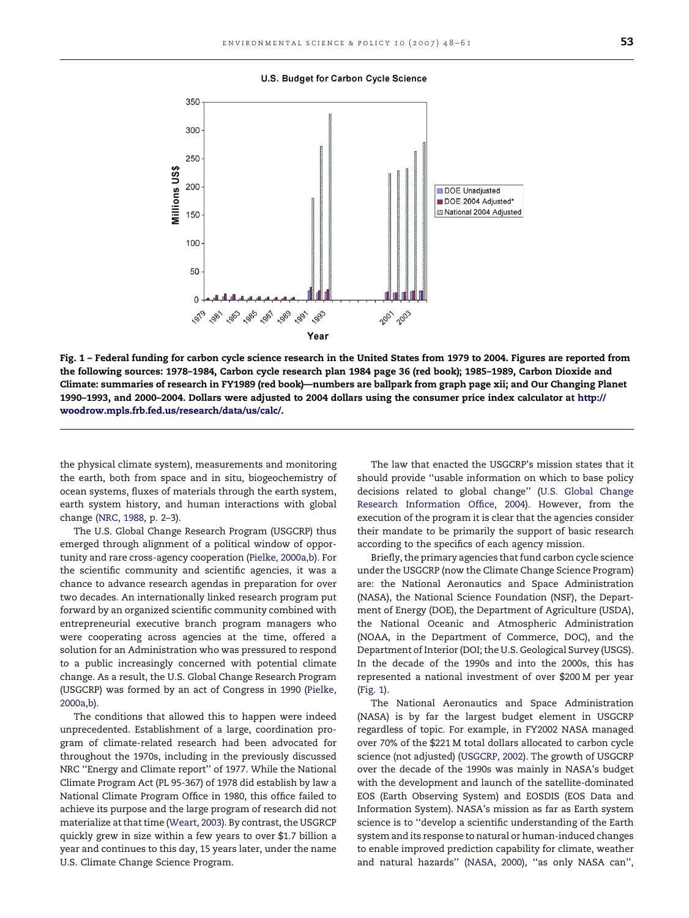U.S. Budget for Carbon Cycle Science

<span id="page-5-0"></span>

Fig. 1 – Federal funding for carbon cycle science research in the United States from 1979 to 2004. Figures are reported from the following sources: 1978–1984, Carbon cycle research plan 1984 page 36 (red book); 1985–1989, Carbon Dioxide and Climate: summaries of research in FY1989 (red book)—numbers are ballpark from graph page xii; and Our Changing Planet 1990–1993, and 2000–2004. Dollars were adjusted to 2004 dollars using the consumer price index calculator at [http://](http://woodrow.mpls.frb.fed.us/research/data/us/calc/) [woodrow.mpls.frb.fed.us/research/data/us/calc/](http://woodrow.mpls.frb.fed.us/research/data/us/calc/).

the physical climate system), measurements and monitoring the earth, both from space and in situ, biogeochemistry of ocean systems, fluxes of materials through the earth system, earth system history, and human interactions with global change [\(NRC, 1988](#page-12-0), p. 2–3).

The U.S. Global Change Research Program (USGCRP) thus emerged through alignment of a political window of opportunity and rare cross-agency cooperation ([Pielke, 2000a,b\)](#page-12-0). For the scientific community and scientific agencies, it was a chance to advance research agendas in preparation for over two decades. An internationally linked research program put forward by an organized scientific community combined with entrepreneurial executive branch program managers who were cooperating across agencies at the time, offered a solution for an Administration who was pressured to respond to a public increasingly concerned with potential climate change. As a result, the U.S. Global Change Research Program (USGCRP) was formed by an act of Congress in 1990 ([Pielke,](#page-12-0) [2000a,b\)](#page-12-0).

The conditions that allowed this to happen were indeed unprecedented. Establishment of a large, coordination program of climate-related research had been advocated for throughout the 1970s, including in the previously discussed NRC ''Energy and Climate report'' of 1977. While the National Climate Program Act (PL 95-367) of 1978 did establish by law a National Climate Program Office in 1980, this office failed to achieve its purpose and the large program of research did not materialize at that time [\(Weart, 2003\)](#page-13-0). By contrast, the USGRCP quickly grew in size within a few years to over \$1.7 billion a year and continues to this day, 15 years later, under the name U.S. Climate Change Science Program.

The law that enacted the USGCRP's mission states that it should provide ''usable information on which to base policy decisions related to global change'' [\(U.S. Global Change](#page-13-0) [Research Information Office, 2004](#page-13-0)). However, from the execution of the program it is clear that the agencies consider their mandate to be primarily the support of basic research according to the specifics of each agency mission.

Briefly, the primary agencies that fund carbon cycle science under the USGCRP (now the Climate Change Science Program) are: the National Aeronautics and Space Administration (NASA), the National Science Foundation (NSF), the Department of Energy (DOE), the Department of Agriculture (USDA), the National Oceanic and Atmospheric Administration (NOAA, in the Department of Commerce, DOC), and the Department of Interior (DOI; the U.S. Geological Survey (USGS). In the decade of the 1990s and into the 2000s, this has represented a national investment of over \$200 M per year (Fig. 1).

The National Aeronautics and Space Administration (NASA) is by far the largest budget element in USGCRP regardless of topic. For example, in FY2002 NASA managed over 70% of the \$221 M total dollars allocated to carbon cycle science (not adjusted) [\(USGCRP, 2002](#page-13-0)). The growth of USGCRP over the decade of the 1990s was mainly in NASA's budget with the development and launch of the satellite-dominated EOS (Earth Observing System) and EOSDIS (EOS Data and Information System). NASA's mission as far as Earth system science is to ''develop a scientific understanding of the Earth system and its response to natural or human-induced changes to enable improved prediction capability for climate, weather and natural hazards'' [\(NASA, 2000](#page-12-0)), ''as only NASA can'',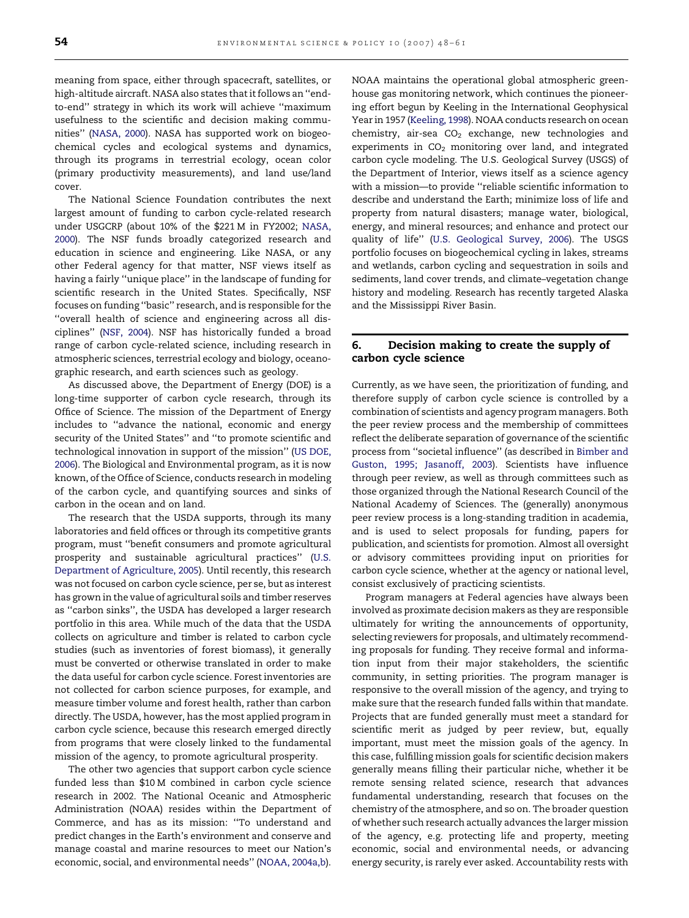meaning from space, either through spacecraft, satellites, or high-altitude aircraft. NASA also states that it follows an ''endto-end'' strategy in which its work will achieve ''maximum usefulness to the scientific and decision making communities'' [\(NASA, 2000\)](#page-12-0). NASA has supported work on biogeochemical cycles and ecological systems and dynamics, through its programs in terrestrial ecology, ocean color (primary productivity measurements), and land use/land cover.

The National Science Foundation contributes the next largest amount of funding to carbon cycle-related research under USGCRP (about 10% of the \$221 M in FY2002; [NASA,](#page-12-0) [2000\)](#page-12-0). The NSF funds broadly categorized research and education in science and engineering. Like NASA, or any other Federal agency for that matter, NSF views itself as having a fairly ''unique place'' in the landscape of funding for scientific research in the United States. Specifically, NSF focuses on funding ''basic'' research, and is responsible for the ''overall health of science and engineering across all disciplines'' ([NSF, 2004](#page-12-0)). NSF has historically funded a broad range of carbon cycle-related science, including research in atmospheric sciences, terrestrial ecology and biology, oceanographic research, and earth sciences such as geology.

As discussed above, the Department of Energy (DOE) is a long-time supporter of carbon cycle research, through its Office of Science. The mission of the Department of Energy includes to ''advance the national, economic and energy security of the United States'' and ''to promote scientific and technological innovation in support of the mission'' [\(US DOE,](#page-13-0) [2006\)](#page-13-0). The Biological and Environmental program, as it is now known, of the Office of Science, conducts research in modeling of the carbon cycle, and quantifying sources and sinks of carbon in the ocean and on land.

The research that the USDA supports, through its many laboratories and field offices or through its competitive grants program, must ''benefit consumers and promote agricultural prosperity and sustainable agricultural practices'' [\(U.S.](#page-13-0) [Department of Agriculture, 2005\)](#page-13-0). Until recently, this research was not focused on carbon cycle science, per se, but as interest has grown in the value of agricultural soils and timber reserves as ''carbon sinks'', the USDA has developed a larger research portfolio in this area. While much of the data that the USDA collects on agriculture and timber is related to carbon cycle studies (such as inventories of forest biomass), it generally must be converted or otherwise translated in order to make the data useful for carbon cycle science. Forest inventories are not collected for carbon science purposes, for example, and measure timber volume and forest health, rather than carbon directly. The USDA, however, has the most applied program in carbon cycle science, because this research emerged directly from programs that were closely linked to the fundamental mission of the agency, to promote agricultural prosperity.

The other two agencies that support carbon cycle science funded less than \$10 M combined in carbon cycle science research in 2002. The National Oceanic and Atmospheric Administration (NOAA) resides within the Department of Commerce, and has as its mission: ''To understand and predict changes in the Earth's environment and conserve and manage coastal and marine resources to meet our Nation's economic, social, and environmental needs'' [\(NOAA, 2004a,b\)](#page-12-0).

NOAA maintains the operational global atmospheric greenhouse gas monitoring network, which continues the pioneering effort begun by Keeling in the International Geophysical Year in 1957 ([Keeling, 1998](#page-12-0)). NOAA conducts research on ocean chemistry, air-sea  $CO<sub>2</sub>$  exchange, new technologies and experiments in  $CO<sub>2</sub>$  monitoring over land, and integrated carbon cycle modeling. The U.S. Geological Survey (USGS) of the Department of Interior, views itself as a science agency with a mission—to provide ''reliable scientific information to describe and understand the Earth; minimize loss of life and property from natural disasters; manage water, biological, energy, and mineral resources; and enhance and protect our quality of life'' [\(U.S. Geological Survey, 2006\)](#page-13-0). The USGS portfolio focuses on biogeochemical cycling in lakes, streams and wetlands, carbon cycling and sequestration in soils and sediments, land cover trends, and climate–vegetation change history and modeling. Research has recently targeted Alaska and the Mississippi River Basin.

## 6. Decision making to create the supply of carbon cycle science

Currently, as we have seen, the prioritization of funding, and therefore supply of carbon cycle science is controlled by a combination of scientists and agency program managers. Both the peer review process and the membership of committees reflect the deliberate separation of governance of the scientific process from ''societal influence'' (as described in [Bimber and](#page-11-0) [Guston, 1995; Jasanoff, 2003\)](#page-11-0). Scientists have influence through peer review, as well as through committees such as those organized through the National Research Council of the National Academy of Sciences. The (generally) anonymous peer review process is a long-standing tradition in academia, and is used to select proposals for funding, papers for publication, and scientists for promotion. Almost all oversight or advisory committees providing input on priorities for carbon cycle science, whether at the agency or national level, consist exclusively of practicing scientists.

Program managers at Federal agencies have always been involved as proximate decision makers as they are responsible ultimately for writing the announcements of opportunity, selecting reviewers for proposals, and ultimately recommending proposals for funding. They receive formal and information input from their major stakeholders, the scientific community, in setting priorities. The program manager is responsive to the overall mission of the agency, and trying to make sure that the research funded falls within that mandate. Projects that are funded generally must meet a standard for scientific merit as judged by peer review, but, equally important, must meet the mission goals of the agency. In this case, fulfilling mission goals for scientific decision makers generally means filling their particular niche, whether it be remote sensing related science, research that advances fundamental understanding, research that focuses on the chemistry of the atmosphere, and so on. The broader question of whether such research actually advances the larger mission of the agency, e.g. protecting life and property, meeting economic, social and environmental needs, or advancing energy security, is rarely ever asked. Accountability rests with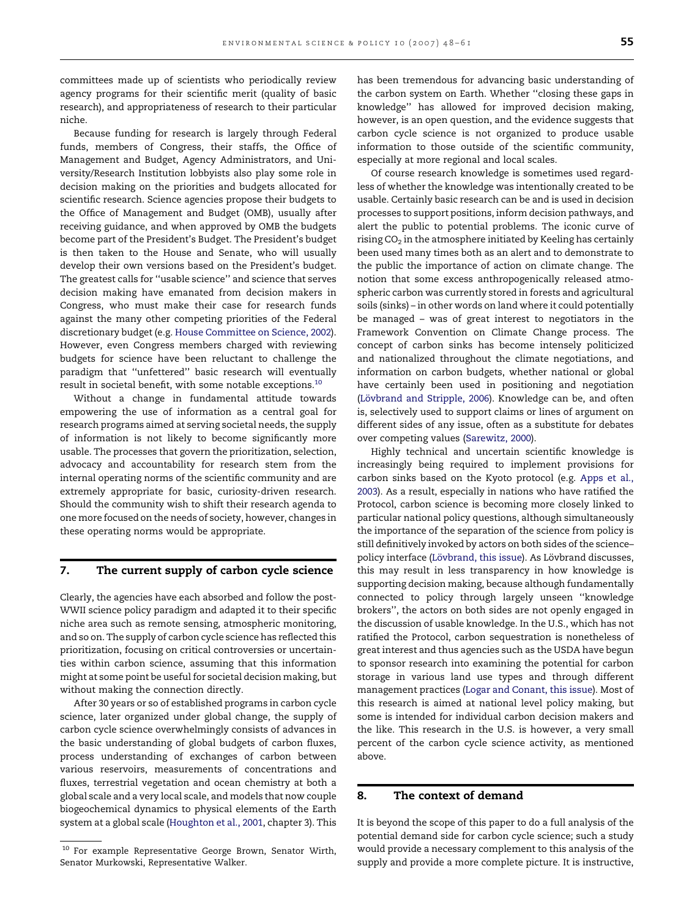committees made up of scientists who periodically review agency programs for their scientific merit (quality of basic research), and appropriateness of research to their particular niche.

Because funding for research is largely through Federal funds, members of Congress, their staffs, the Office of Management and Budget, Agency Administrators, and University/Research Institution lobbyists also play some role in decision making on the priorities and budgets allocated for scientific research. Science agencies propose their budgets to the Office of Management and Budget (OMB), usually after receiving guidance, and when approved by OMB the budgets become part of the President's Budget. The President's budget is then taken to the House and Senate, who will usually develop their own versions based on the President's budget. The greatest calls for ''usable science'' and science that serves decision making have emanated from decision makers in Congress, who must make their case for research funds against the many other competing priorities of the Federal discretionary budget (e.g. [House Committee on Science, 2002](#page-11-0)). However, even Congress members charged with reviewing budgets for science have been reluctant to challenge the paradigm that ''unfettered'' basic research will eventually result in societal benefit, with some notable exceptions.10

Without a change in fundamental attitude towards empowering the use of information as a central goal for research programs aimed at serving societal needs, the supply of information is not likely to become significantly more usable. The processes that govern the prioritization, selection, advocacy and accountability for research stem from the internal operating norms of the scientific community and are extremely appropriate for basic, curiosity-driven research. Should the community wish to shift their research agenda to one more focused on the needs of society, however, changes in these operating norms would be appropriate.

#### 7. The current supply of carbon cycle science

Clearly, the agencies have each absorbed and follow the post-WWII science policy paradigm and adapted it to their specific niche area such as remote sensing, atmospheric monitoring, and so on. The supply of carbon cycle science has reflected this prioritization, focusing on critical controversies or uncertainties within carbon science, assuming that this information might at some point be useful for societal decision making, but without making the connection directly.

After 30 years or so of established programs in carbon cycle science, later organized under global change, the supply of carbon cycle science overwhelmingly consists of advances in the basic understanding of global budgets of carbon fluxes, process understanding of exchanges of carbon between various reservoirs, measurements of concentrations and fluxes, terrestrial vegetation and ocean chemistry at both a global scale and a very local scale, and models that now couple biogeochemical dynamics to physical elements of the Earth system at a global scale [\(Houghton et al., 2001](#page-11-0), chapter 3). This

has been tremendous for advancing basic understanding of the carbon system on Earth. Whether ''closing these gaps in knowledge'' has allowed for improved decision making, however, is an open question, and the evidence suggests that carbon cycle science is not organized to produce usable information to those outside of the scientific community, especially at more regional and local scales.

Of course research knowledge is sometimes used regardless of whether the knowledge was intentionally created to be usable. Certainly basic research can be and is used in decision processes to support positions, inform decision pathways, and alert the public to potential problems. The iconic curve of rising  $CO<sub>2</sub>$  in the atmosphere initiated by Keeling has certainly been used many times both as an alert and to demonstrate to the public the importance of action on climate change. The notion that some excess anthropogenically released atmospheric carbon was currently stored in forests and agricultural soils (sinks) – in other words on land where it could potentially be managed – was of great interest to negotiators in the Framework Convention on Climate Change process. The concept of carbon sinks has become intensely politicized and nationalized throughout the climate negotiations, and information on carbon budgets, whether national or global have certainly been used in positioning and negotiation (Lövbrand and Stripple, 2006). Knowledge can be, and often is, selectively used to support claims or lines of argument on different sides of any issue, often as a substitute for debates over competing values ([Sarewitz, 2000](#page-12-0)).

Highly technical and uncertain scientific knowledge is increasingly being required to implement provisions for carbon sinks based on the Kyoto protocol (e.g. [Apps et al.,](#page-11-0) [2003](#page-11-0)). As a result, especially in nations who have ratified the Protocol, carbon science is becoming more closely linked to particular national policy questions, although simultaneously the importance of the separation of the science from policy is still definitively invoked by actors on both sides of the science– policy interface (Lövbrand, this issue). As Lövbrand discusses, this may result in less transparency in how knowledge is supporting decision making, because although fundamentally connected to policy through largely unseen ''knowledge brokers'', the actors on both sides are not openly engaged in the discussion of usable knowledge. In the U.S., which has not ratified the Protocol, carbon sequestration is nonetheless of great interest and thus agencies such as the USDA have begun to sponsor research into examining the potential for carbon storage in various land use types and through different management practices [\(Logar and Conant, this issue](#page-12-0)). Most of this research is aimed at national level policy making, but some is intended for individual carbon decision makers and the like. This research in the U.S. is however, a very small percent of the carbon cycle science activity, as mentioned above.

#### 8. The context of demand

It is beyond the scope of this paper to do a full analysis of the potential demand side for carbon cycle science; such a study would provide a necessary complement to this analysis of the supply and provide a more complete picture. It is instructive,

<sup>10</sup> For example Representative George Brown, Senator Wirth, Senator Murkowski, Representative Walker.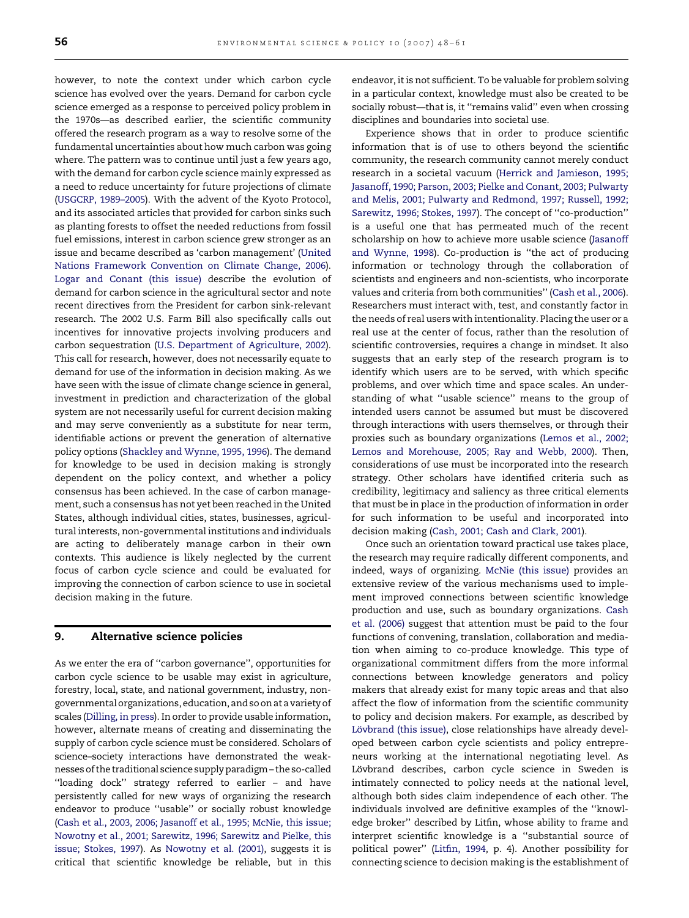however, to note the context under which carbon cycle science has evolved over the years. Demand for carbon cycle science emerged as a response to perceived policy problem in the 1970s—as described earlier, the scientific community offered the research program as a way to resolve some of the fundamental uncertainties about how much carbon was going where. The pattern was to continue until just a few years ago, with the demand for carbon cycle science mainly expressed as a need to reduce uncertainty for future projections of climate ([USGCRP, 1989–2005\)](#page-13-0). With the advent of the Kyoto Protocol, and its associated articles that provided for carbon sinks such as planting forests to offset the needed reductions from fossil fuel emissions, interest in carbon science grew stronger as an issue and became described as 'carbon management' [\(United](#page-13-0) [Nations Framework Convention on Climate Change, 2006\)](#page-13-0). [Logar and Conant \(this issue\)](#page-12-0) describe the evolution of demand for carbon science in the agricultural sector and note recent directives from the President for carbon sink-relevant research. The 2002 U.S. Farm Bill also specifically calls out incentives for innovative projects involving producers and carbon sequestration ([U.S. Department of Agriculture, 2002\)](#page-13-0). This call for research, however, does not necessarily equate to demand for use of the information in decision making. As we have seen with the issue of climate change science in general, investment in prediction and characterization of the global system are not necessarily useful for current decision making and may serve conveniently as a substitute for near term, identifiable actions or prevent the generation of alternative policy options [\(Shackley and Wynne, 1995, 1996\)](#page-12-0). The demand for knowledge to be used in decision making is strongly dependent on the policy context, and whether a policy consensus has been achieved. In the case of carbon management, such a consensus has not yet been reached in the United States, although individual cities, states, businesses, agricultural interests, non-governmental institutions and individuals are acting to deliberately manage carbon in their own contexts. This audience is likely neglected by the current focus of carbon cycle science and could be evaluated for improving the connection of carbon science to use in societal decision making in the future.

## 9. Alternative science policies

As we enter the era of ''carbon governance'', opportunities for carbon cycle science to be usable may exist in agriculture, forestry, local, state, and national government, industry, nongovernmental organizations,education, and soonata varietyof scales [\(Dilling, in press](#page-11-0)). In order to provide usable information, however, alternate means of creating and disseminating the supply of carbon cycle science must be considered. Scholars of science–society interactions have demonstrated the weaknesses ofthe traditional science supplyparadigm – the so-called ''loading dock'' strategy referred to earlier – and have persistently called for new ways of organizing the research endeavor to produce ''usable'' or socially robust knowledge ([Cash et al., 2003, 2006; Jasanoff et al., 1995; McNie, this issue;](#page-11-0) [Nowotny et al., 2001; Sarewitz, 1996; Sarewitz and Pielke, this](#page-11-0) [issue; Stokes, 1997](#page-11-0)). As [Nowotny et al. \(2001\)](#page-12-0), suggests it is critical that scientific knowledge be reliable, but in this endeavor, it is not sufficient. To be valuable for problem solving in a particular context, knowledge must also be created to be socially robust—that is, it ''remains valid'' even when crossing disciplines and boundaries into societal use.

Experience shows that in order to produce scientific information that is of use to others beyond the scientific community, the research community cannot merely conduct research in a societal vacuum [\(Herrick and Jamieson, 1995;](#page-11-0) [Jasanoff, 1990; Parson, 2003; Pielke and Conant, 2003; Pulwarty](#page-11-0) [and Melis, 2001; Pulwarty and Redmond, 1997; Russell, 1992;](#page-11-0) [Sarewitz, 1996; Stokes, 1997](#page-11-0)). The concept of ''co-production'' is a useful one that has permeated much of the recent scholarship on how to achieve more usable science ([Jasanoff](#page-12-0) [and Wynne, 1998](#page-12-0)). Co-production is ''the act of producing information or technology through the collaboration of scientists and engineers and non-scientists, who incorporate values and criteria from both communities'' ([Cash et al., 2006\)](#page-11-0). Researchers must interact with, test, and constantly factor in the needs of real users with intentionality. Placing the user or a real use at the center of focus, rather than the resolution of scientific controversies, requires a change in mindset. It also suggests that an early step of the research program is to identify which users are to be served, with which specific problems, and over which time and space scales. An understanding of what ''usable science'' means to the group of intended users cannot be assumed but must be discovered through interactions with users themselves, or through their proxies such as boundary organizations [\(Lemos et al., 2002;](#page-12-0) [Lemos and Morehouse, 2005; Ray and Webb, 2000\)](#page-12-0). Then, considerations of use must be incorporated into the research strategy. Other scholars have identified criteria such as credibility, legitimacy and saliency as three critical elements that must be in place in the production of information in order for such information to be useful and incorporated into decision making ([Cash, 2001; Cash and Clark, 2001](#page-11-0)).

Once such an orientation toward practical use takes place, the research may require radically different components, and indeed, ways of organizing. [McNie \(this issue\)](#page-12-0) provides an extensive review of the various mechanisms used to implement improved connections between scientific knowledge production and use, such as boundary organizations. [Cash](#page-11-0) [et al. \(2006\)](#page-11-0) suggest that attention must be paid to the four functions of convening, translation, collaboration and mediation when aiming to co-produce knowledge. This type of organizational commitment differs from the more informal connections between knowledge generators and policy makers that already exist for many topic areas and that also affect the flow of information from the scientific community to policy and decision makers. For example, as described by Lövbrand (this issue), close relationships have already developed between carbon cycle scientists and policy entrepreneurs working at the international negotiating level. As Lövbrand describes, carbon cycle science in Sweden is intimately connected to policy needs at the national level, although both sides claim independence of each other. The individuals involved are definitive examples of the ''knowledge broker'' described by Litfin, whose ability to frame and interpret scientific knowledge is a ''substantial source of political power'' ([Litfin, 1994](#page-12-0), p. 4). Another possibility for connecting science to decision making is the establishment of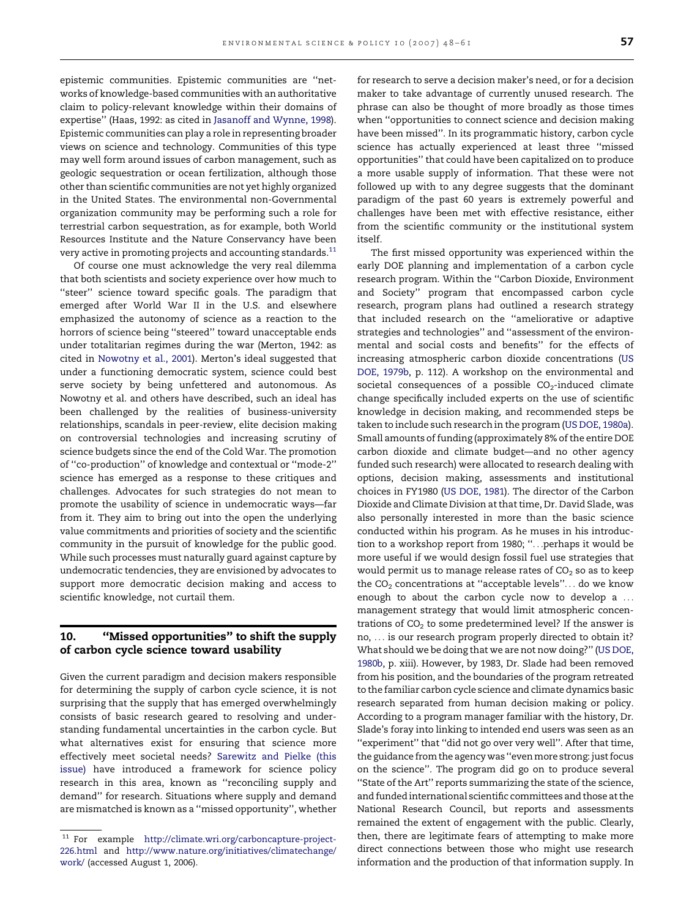epistemic communities. Epistemic communities are ''networks of knowledge-based communities with an authoritative claim to policy-relevant knowledge within their domains of expertise'' (Haas, 1992: as cited in [Jasanoff and Wynne, 1998](#page-12-0)). Epistemic communities can play a role in representing broader views on science and technology. Communities of this type may well form around issues of carbon management, such as geologic sequestration or ocean fertilization, although those other than scientific communities are not yet highly organized in the United States. The environmental non-Governmental organization community may be performing such a role for terrestrial carbon sequestration, as for example, both World Resources Institute and the Nature Conservancy have been very active in promoting projects and accounting standards.<sup>11</sup>

Of course one must acknowledge the very real dilemma that both scientists and society experience over how much to "steer" science toward specific goals. The paradigm that emerged after World War II in the U.S. and elsewhere emphasized the autonomy of science as a reaction to the horrors of science being ''steered'' toward unacceptable ends under totalitarian regimes during the war (Merton, 1942: as cited in [Nowotny et al., 2001](#page-12-0)). Merton's ideal suggested that under a functioning democratic system, science could best serve society by being unfettered and autonomous. As Nowotny et al. and others have described, such an ideal has been challenged by the realities of business-university relationships, scandals in peer-review, elite decision making on controversial technologies and increasing scrutiny of science budgets since the end of the Cold War. The promotion of ''co-production'' of knowledge and contextual or ''mode-2'' science has emerged as a response to these critiques and challenges. Advocates for such strategies do not mean to promote the usability of science in undemocratic ways—far from it. They aim to bring out into the open the underlying value commitments and priorities of society and the scientific community in the pursuit of knowledge for the public good. While such processes must naturally guard against capture by undemocratic tendencies, they are envisioned by advocates to support more democratic decision making and access to scientific knowledge, not curtail them.

## 10. ''Missed opportunities'' to shift the supply of carbon cycle science toward usability

Given the current paradigm and decision makers responsible for determining the supply of carbon cycle science, it is not surprising that the supply that has emerged overwhelmingly consists of basic research geared to resolving and understanding fundamental uncertainties in the carbon cycle. But what alternatives exist for ensuring that science more effectively meet societal needs? [Sarewitz and Pielke \(this](#page-12-0) [issue\)](#page-12-0) have introduced a framework for science policy research in this area, known as ''reconciling supply and demand'' for research. Situations where supply and demand are mismatched is known as a ''missed opportunity'', whether

for research to serve a decision maker's need, or for a decision maker to take advantage of currently unused research. The phrase can also be thought of more broadly as those times when ''opportunities to connect science and decision making have been missed''. In its programmatic history, carbon cycle science has actually experienced at least three ''missed opportunities'' that could have been capitalized on to produce a more usable supply of information. That these were not followed up with to any degree suggests that the dominant paradigm of the past 60 years is extremely powerful and challenges have been met with effective resistance, either from the scientific community or the institutional system itself.

The first missed opportunity was experienced within the early DOE planning and implementation of a carbon cycle research program. Within the ''Carbon Dioxide, Environment and Society'' program that encompassed carbon cycle research, program plans had outlined a research strategy that included research on the ''ameliorative or adaptive strategies and technologies'' and ''assessment of the environmental and social costs and benefits'' for the effects of increasing atmospheric carbon dioxide concentrations [\(US](#page-13-0) [DOE, 1979b](#page-13-0), p. 112). A workshop on the environmental and societal consequences of a possible  $CO<sub>2</sub>$ -induced climate change specifically included experts on the use of scientific knowledge in decision making, and recommended steps be taken to include such research in the program [\(US DOE, 1980a](#page-13-0)). Small amounts of funding (approximately 8% of the entire DOE carbon dioxide and climate budget—and no other agency funded such research) were allocated to research dealing with options, decision making, assessments and institutional choices in FY1980 ([US DOE, 1981](#page-13-0)). The director of the Carbon Dioxide and Climate Division at that time, Dr. David Slade, was also personally interested in more than the basic science conducted within his program. As he muses in his introduction to a workshop report from 1980; ''...perhaps it would be more useful if we would design fossil fuel use strategies that would permit us to manage release rates of  $CO<sub>2</sub>$  so as to keep the  $CO<sub>2</sub>$  concentrations at "acceptable levels"... do we know enough to about the carbon cycle now to develop a ... management strategy that would limit atmospheric concentrations of  $CO<sub>2</sub>$  to some predetermined level? If the answer is no, ... is our research program properly directed to obtain it? What should we be doing that we are not now doing?'' [\(US DOE,](#page-13-0) [1980b,](#page-13-0) p. xiii). However, by 1983, Dr. Slade had been removed from his position, and the boundaries of the program retreated to the familiar carbon cycle science and climate dynamics basic research separated from human decision making or policy. According to a program manager familiar with the history, Dr. Slade's foray into linking to intended end users was seen as an ''experiment'' that ''did not go over very well''. After that time, the guidance from the agency was ''even more strong: just focus on the science''. The program did go on to produce several ''State of the Art'' reports summarizing the state of the science, and funded international scientific committees and those at the National Research Council, but reports and assessments remained the extent of engagement with the public. Clearly, then, there are legitimate fears of attempting to make more direct connections between those who might use research information and the production of that information supply. In

<sup>11</sup> For example [http://climate.wri.org/carboncapture-project-](http://climate.wri.org/carboncapture-project-226.html)[226.html](http://climate.wri.org/carboncapture-project-226.html) and [http://www.nature.org/initiatives/climatechange/](http://www.nature.org/initiatives/climatechange/work/) [work/](http://www.nature.org/initiatives/climatechange/work/) (accessed August 1, 2006).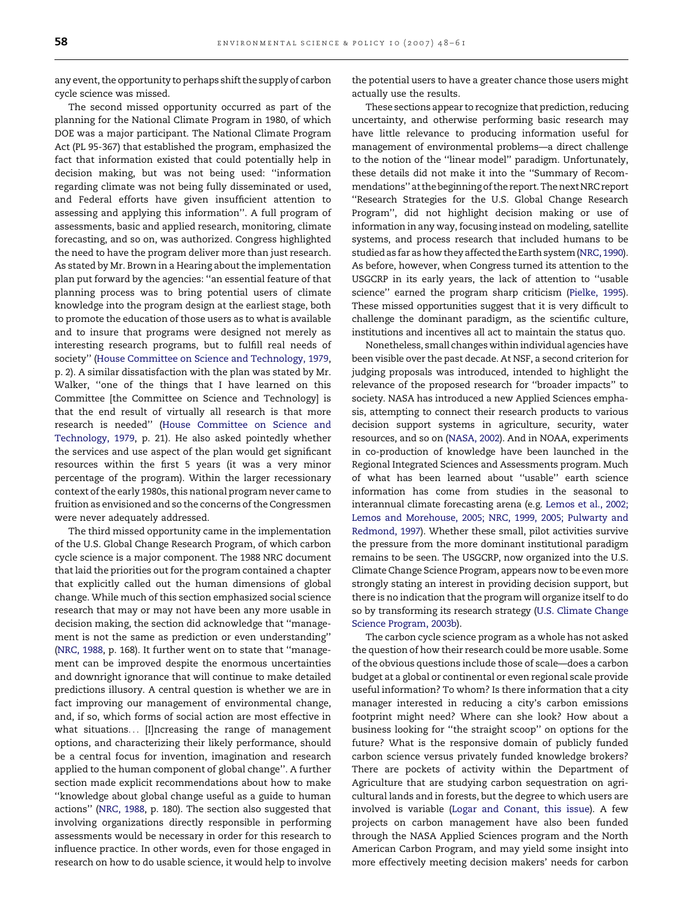any event, the opportunity to perhaps shift the supply of carbon cycle science was missed.

The second missed opportunity occurred as part of the planning for the National Climate Program in 1980, of which DOE was a major participant. The National Climate Program Act (PL 95-367) that established the program, emphasized the fact that information existed that could potentially help in decision making, but was not being used: ''information regarding climate was not being fully disseminated or used, and Federal efforts have given insufficient attention to assessing and applying this information''. A full program of assessments, basic and applied research, monitoring, climate forecasting, and so on, was authorized. Congress highlighted the need to have the program deliver more than just research. As stated by Mr. Brown in a Hearing about the implementation plan put forward by the agencies: ''an essential feature of that planning process was to bring potential users of climate knowledge into the program design at the earliest stage, both to promote the education of those users as to what is available and to insure that programs were designed not merely as interesting research programs, but to fulfill real needs of society'' ([House Committee on Science and Technology, 1979](#page-11-0), p. 2). A similar dissatisfaction with the plan was stated by Mr. Walker, ''one of the things that I have learned on this Committee [the Committee on Science and Technology] is that the end result of virtually all research is that more research is needed'' [\(House Committee on Science and](#page-11-0) [Technology, 1979](#page-11-0), p. 21). He also asked pointedly whether the services and use aspect of the plan would get significant resources within the first 5 years (it was a very minor percentage of the program). Within the larger recessionary context of the early 1980s, this national program never came to fruition as envisioned and so the concerns of the Congressmen were never adequately addressed.

The third missed opportunity came in the implementation of the U.S. Global Change Research Program, of which carbon cycle science is a major component. The 1988 NRC document that laid the priorities out for the program contained a chapter that explicitly called out the human dimensions of global change. While much of this section emphasized social science research that may or may not have been any more usable in decision making, the section did acknowledge that ''management is not the same as prediction or even understanding'' ([NRC, 1988,](#page-12-0) p. 168). It further went on to state that ''management can be improved despite the enormous uncertainties and downright ignorance that will continue to make detailed predictions illusory. A central question is whether we are in fact improving our management of environmental change, and, if so, which forms of social action are most effective in what situations... [I]ncreasing the range of management options, and characterizing their likely performance, should be a central focus for invention, imagination and research applied to the human component of global change''. A further section made explicit recommendations about how to make ''knowledge about global change useful as a guide to human actions'' [\(NRC, 1988](#page-12-0), p. 180). The section also suggested that involving organizations directly responsible in performing assessments would be necessary in order for this research to influence practice. In other words, even for those engaged in research on how to do usable science, it would help to involve

the potential users to have a greater chance those users might actually use the results.

These sections appear to recognize that prediction, reducing uncertainty, and otherwise performing basic research may have little relevance to producing information useful for management of environmental problems—a direct challenge to the notion of the ''linear model'' paradigm. Unfortunately, these details did not make it into the ''Summary of Recommendations'' atthebeginning ofthe report.The nextNRCreport ''Research Strategies for the U.S. Global Change Research Program'', did not highlight decision making or use of information in any way, focusing instead on modeling, satellite systems, and process research that included humans to be studied as far as how they affected the Earth system [\(NRC, 1990\)](#page-12-0). As before, however, when Congress turned its attention to the USGCRP in its early years, the lack of attention to ''usable science'' earned the program sharp criticism [\(Pielke, 1995\)](#page-12-0). These missed opportunities suggest that it is very difficult to challenge the dominant paradigm, as the scientific culture, institutions and incentives all act to maintain the status quo.

Nonetheless, small changes within individual agencies have been visible over the past decade. At NSF, a second criterion for judging proposals was introduced, intended to highlight the relevance of the proposed research for ''broader impacts'' to society. NASA has introduced a new Applied Sciences emphasis, attempting to connect their research products to various decision support systems in agriculture, security, water resources, and so on ([NASA, 2002\)](#page-12-0). And in NOAA, experiments in co-production of knowledge have been launched in the Regional Integrated Sciences and Assessments program. Much of what has been learned about ''usable'' earth science information has come from studies in the seasonal to interannual climate forecasting arena (e.g. [Lemos et al., 2002;](#page-12-0) [Lemos and Morehouse, 2005; NRC, 1999, 2005; Pulwarty and](#page-12-0) [Redmond, 1997\)](#page-12-0). Whether these small, pilot activities survive the pressure from the more dominant institutional paradigm remains to be seen. The USGCRP, now organized into the U.S. Climate Change Science Program, appears now to be even more strongly stating an interest in providing decision support, but there is no indication that the program will organize itself to do so by transforming its research strategy [\(U.S. Climate Change](#page-13-0) [Science Program, 2003b\)](#page-13-0).

The carbon cycle science program as a whole has not asked the question of how their research could be more usable. Some of the obvious questions include those of scale—does a carbon budget at a global or continental or even regional scale provide useful information? To whom? Is there information that a city manager interested in reducing a city's carbon emissions footprint might need? Where can she look? How about a business looking for ''the straight scoop'' on options for the future? What is the responsive domain of publicly funded carbon science versus privately funded knowledge brokers? There are pockets of activity within the Department of Agriculture that are studying carbon sequestration on agricultural lands and in forests, but the degree to which users are involved is variable ([Logar and Conant, this issue\)](#page-12-0). A few projects on carbon management have also been funded through the NASA Applied Sciences program and the North American Carbon Program, and may yield some insight into more effectively meeting decision makers' needs for carbon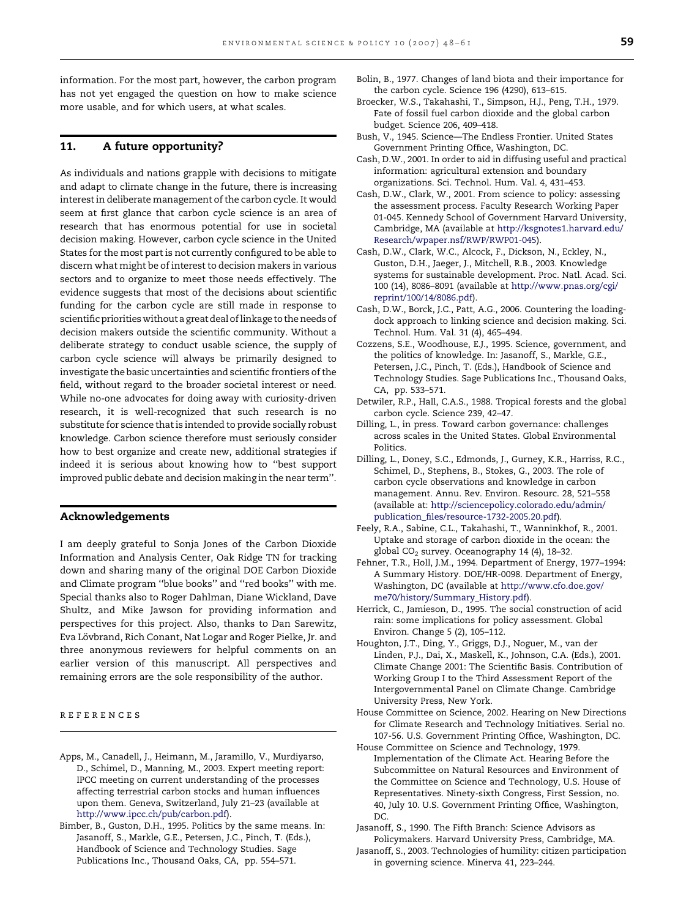<span id="page-11-0"></span>information. For the most part, however, the carbon program has not yet engaged the question on how to make science more usable, and for which users, at what scales.

## 11. A future opportunity?

As individuals and nations grapple with decisions to mitigate and adapt to climate change in the future, there is increasing interest in deliberate management of the carbon cycle. It would seem at first glance that carbon cycle science is an area of research that has enormous potential for use in societal decision making. However, carbon cycle science in the United States for the most part is not currently configured to be able to discern what might be of interest to decision makers in various sectors and to organize to meet those needs effectively. The evidence suggests that most of the decisions about scientific funding for the carbon cycle are still made in response to scientific priorities without a great deal of linkage to the needs of decision makers outside the scientific community. Without a deliberate strategy to conduct usable science, the supply of carbon cycle science will always be primarily designed to investigate the basic uncertainties and scientific frontiers of the field, without regard to the broader societal interest or need. While no-one advocates for doing away with curiosity-driven research, it is well-recognized that such research is no substitute for science that is intended to provide socially robust knowledge. Carbon science therefore must seriously consider how to best organize and create new, additional strategies if indeed it is serious about knowing how to ''best support improved public debate and decision making in the near term''.

#### Acknowledgements

I am deeply grateful to Sonja Jones of the Carbon Dioxide Information and Analysis Center, Oak Ridge TN for tracking down and sharing many of the original DOE Carbon Dioxide and Climate program ''blue books'' and ''red books'' with me. Special thanks also to Roger Dahlman, Diane Wickland, Dave Shultz, and Mike Jawson for providing information and perspectives for this project. Also, thanks to Dan Sarewitz, Eva Lövbrand, Rich Conant, Nat Logar and Roger Pielke, Jr. and three anonymous reviewers for helpful comments on an earlier version of this manuscript. All perspectives and remaining errors are the sole responsibility of the author.

#### references

- Apps, M., Canadell, J., Heimann, M., Jaramillo, V., Murdiyarso, D., Schimel, D., Manning, M., 2003. Expert meeting report: IPCC meeting on current understanding of the processes affecting terrestrial carbon stocks and human influences upon them. Geneva, Switzerland, July 21–23 (available at <http://www.ipcc.ch/pub/carbon.pdf>).
- Bimber, B., Guston, D.H., 1995. Politics by the same means. In: Jasanoff, S., Markle, G.E., Petersen, J.C., Pinch, T. (Eds.), Handbook of Science and Technology Studies. Sage Publications Inc., Thousand Oaks, CA, pp. 554–571.
- Bolin, B., 1977. Changes of land biota and their importance for the carbon cycle. Science 196 (4290), 613–615.
- Broecker, W.S., Takahashi, T., Simpson, H.J., Peng, T.H., 1979. Fate of fossil fuel carbon dioxide and the global carbon budget. Science 206, 409–418.
- Bush, V., 1945. Science—The Endless Frontier. United States Government Printing Office, Washington, DC.
- Cash, D.W., 2001. In order to aid in diffusing useful and practical information: agricultural extension and boundary organizations. Sci. Technol. Hum. Val. 4, 431–453.
- Cash, D.W., Clark, W., 2001. From science to policy: assessing the assessment process. Faculty Research Working Paper 01-045. Kennedy School of Government Harvard University, Cambridge, MA (available at [http://ksgnotes1.harvard.edu/](http://ksgnotes1.harvard.edu/Research/wpaper.nsf/RWP/RWP01-045) [Research/wpaper.nsf/RWP/RWP01-045](http://ksgnotes1.harvard.edu/Research/wpaper.nsf/RWP/RWP01-045)).
- Cash, D.W., Clark, W.C., Alcock, F., Dickson, N., Eckley, N., Guston, D.H., Jaeger, J., Mitchell, R.B., 2003. Knowledge systems for sustainable development. Proc. Natl. Acad. Sci. 100 (14), 8086–8091 (available at [http://www.pnas.org/cgi/](http://www.pnas.org/cgi/reprint/100/14/8086.pdf) [reprint/100/14/8086.pdf\)](http://www.pnas.org/cgi/reprint/100/14/8086.pdf).
- Cash, D.W., Borck, J.C., Patt, A.G., 2006. Countering the loadingdock approach to linking science and decision making. Sci. Technol. Hum. Val. 31 (4), 465–494.
- Cozzens, S.E., Woodhouse, E.J., 1995. Science, government, and the politics of knowledge. In: Jasanoff, S., Markle, G.E., Petersen, J.C., Pinch, T. (Eds.), Handbook of Science and Technology Studies. Sage Publications Inc., Thousand Oaks, CA, pp. 533–571.
- Detwiler, R.P., Hall, C.A.S., 1988. Tropical forests and the global carbon cycle. Science 239, 42–47.
- Dilling, L., in press. Toward carbon governance: challenges across scales in the United States. Global Environmental **Politics**
- Dilling, L., Doney, S.C., Edmonds, J., Gurney, K.R., Harriss, R.C., Schimel, D., Stephens, B., Stokes, G., 2003. The role of carbon cycle observations and knowledge in carbon management. Annu. Rev. Environ. Resourc. 28, 521–558 (available at: [http://sciencepolicy.colorado.edu/admin/](http://sciencepolicy.colorado.edu/admin/publication_files/resource-1732-2005.20.pdf) [publication\\_files/resource-1732-2005.20.pdf\)](http://sciencepolicy.colorado.edu/admin/publication_files/resource-1732-2005.20.pdf).
- Feely, R.A., Sabine, C.L., Takahashi, T., Wanninkhof, R., 2001. Uptake and storage of carbon dioxide in the ocean: the global  $CO<sub>2</sub>$  survey. Oceanography 14 (4), 18-32.
- Fehner, T.R., Holl, J.M., 1994. Department of Energy, 1977–1994: A Summary History. DOE/HR-0098. Department of Energy, Washington, DC (available at [http://www.cfo.doe.gov/](http://www.cfo.doe.gov/me70/history/Summary_History.pdf) [me70/history/Summary\\_History.pdf](http://www.cfo.doe.gov/me70/history/Summary_History.pdf)).
- Herrick, C., Jamieson, D., 1995. The social construction of acid rain: some implications for policy assessment. Global Environ. Change 5 (2), 105–112.
- Houghton, J.T., Ding, Y., Griggs, D.J., Noguer, M., van der Linden, P.J., Dai, X., Maskell, K., Johnson, C.A. (Eds.), 2001. Climate Change 2001: The Scientific Basis. Contribution of Working Group I to the Third Assessment Report of the Intergovernmental Panel on Climate Change. Cambridge University Press, New York.
- House Committee on Science, 2002. Hearing on New Directions for Climate Research and Technology Initiatives. Serial no. 107-56. U.S. Government Printing Office, Washington, DC.
- House Committee on Science and Technology, 1979. Implementation of the Climate Act. Hearing Before the Subcommittee on Natural Resources and Environment of the Committee on Science and Technology, U.S. House of Representatives. Ninety-sixth Congress, First Session, no. 40, July 10. U.S. Government Printing Office, Washington, DC.
- Jasanoff, S., 1990. The Fifth Branch: Science Advisors as Policymakers. Harvard University Press, Cambridge, MA.
- Jasanoff, S., 2003. Technologies of humility: citizen participation in governing science. Minerva 41, 223–244.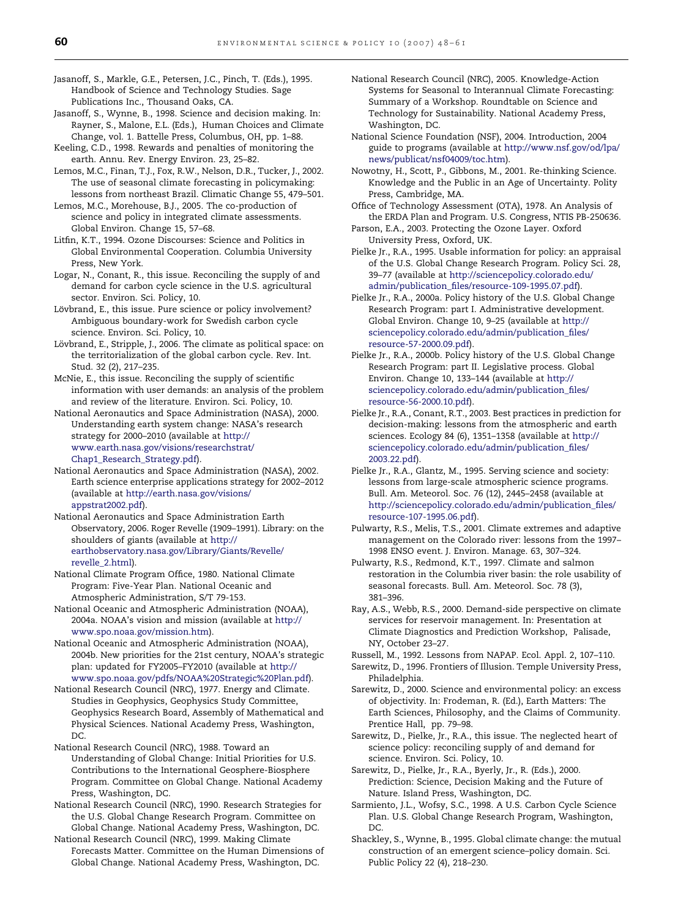<span id="page-12-0"></span>Jasanoff, S., Markle, G.E., Petersen, J.C., Pinch, T. (Eds.), 1995. Handbook of Science and Technology Studies. Sage Publications Inc., Thousand Oaks, CA.

Jasanoff, S., Wynne, B., 1998. Science and decision making. In: Rayner, S., Malone, E.L. (Eds.), Human Choices and Climate Change, vol. 1. Battelle Press, Columbus, OH, pp. 1–88.

Keeling, C.D., 1998. Rewards and penalties of monitoring the earth. Annu. Rev. Energy Environ. 23, 25–82.

Lemos, M.C., Finan, T.J., Fox, R.W., Nelson, D.R., Tucker, J., 2002. The use of seasonal climate forecasting in policymaking: lessons from northeast Brazil. Climatic Change 55, 479–501.

Lemos, M.C., Morehouse, B.J., 2005. The co-production of science and policy in integrated climate assessments. Global Environ. Change 15, 57–68.

Litfin, K.T., 1994. Ozone Discourses: Science and Politics in Global Environmental Cooperation. Columbia University Press, New York.

Logar, N., Conant, R., this issue. Reconciling the supply of and demand for carbon cycle science in the U.S. agricultural sector. Environ. Sci. Policy, 10.

Lövbrand, E., this issue. Pure science or policy involvement? Ambiguous boundary-work for Swedish carbon cycle science. Environ. Sci. Policy, 10.

Lövbrand, E., Stripple, J., 2006. The climate as political space: on the territorialization of the global carbon cycle. Rev. Int. Stud. 32 (2), 217–235.

McNie, E., this issue. Reconciling the supply of scientific information with user demands: an analysis of the problem and review of the literature. Environ. Sci. Policy, 10.

National Aeronautics and Space Administration (NASA), 2000. Understanding earth system change: NASA's research strategy for 2000–2010 (available at [http://](http://www.earth.nasa.gov/visions/researchstrat/Chap1_Research_Strategy.pdf) [www.earth.nasa.gov/visions/researchstrat/](http://www.earth.nasa.gov/visions/researchstrat/Chap1_Research_Strategy.pdf) [Chap1\\_Research\\_Strategy.pdf](http://www.earth.nasa.gov/visions/researchstrat/Chap1_Research_Strategy.pdf)).

National Aeronautics and Space Administration (NASA), 2002. Earth science enterprise applications strategy for 2002–2012 (available at [http://earth.nasa.gov/visions/](http://earth.nasa.gov/visions/appstrat2002.pdf) [appstrat2002.pdf](http://earth.nasa.gov/visions/appstrat2002.pdf)).

National Aeronautics and Space Administration Earth Observatory, 2006. Roger Revelle (1909–1991). Library: on the shoulders of giants (available at [http://](http://earthobservatory.nasa.gov/Library/Giants/Revelle/revelle_2.html) [earthobservatory.nasa.gov/Library/Giants/Revelle/](http://earthobservatory.nasa.gov/Library/Giants/Revelle/revelle_2.html) [revelle\\_2.html\)](http://earthobservatory.nasa.gov/Library/Giants/Revelle/revelle_2.html).

National Climate Program Office, 1980. National Climate Program: Five-Year Plan. National Oceanic and Atmospheric Administration, S/T 79-153.

National Oceanic and Atmospheric Administration (NOAA), 2004a. NOAA's vision and mission (available at [http://](http://www.spo.noaa.gov/mission.htm) [www.spo.noaa.gov/mission.htm\)](http://www.spo.noaa.gov/mission.htm).

National Oceanic and Atmospheric Administration (NOAA), 2004b. New priorities for the 21st century, NOAA's strategic plan: updated for FY2005–FY2010 (available at [http://](http://www.spo.noaa.gov/pdfs/NOAA%20Strategic%20Plan.pdf) [www.spo.noaa.gov/pdfs/NOAA%20Strategic%20Plan.pdf\)](http://www.spo.noaa.gov/pdfs/NOAA%20Strategic%20Plan.pdf).

National Research Council (NRC), 1977. Energy and Climate. Studies in Geophysics, Geophysics Study Committee, Geophysics Research Board, Assembly of Mathematical and Physical Sciences. National Academy Press, Washington, DC.

National Research Council (NRC), 1988. Toward an Understanding of Global Change: Initial Priorities for U.S. Contributions to the International Geosphere-Biosphere Program. Committee on Global Change. National Academy Press, Washington, DC.

National Research Council (NRC), 1990. Research Strategies for the U.S. Global Change Research Program. Committee on Global Change. National Academy Press, Washington, DC.

National Research Council (NRC), 1999. Making Climate Forecasts Matter. Committee on the Human Dimensions of Global Change. National Academy Press, Washington, DC.

National Research Council (NRC), 2005. Knowledge-Action Systems for Seasonal to Interannual Climate Forecasting: Summary of a Workshop. Roundtable on Science and Technology for Sustainability. National Academy Press, Washington, DC.

National Science Foundation (NSF), 2004. Introduction, 2004 guide to programs (available at [http://www.nsf.gov/od/lpa/](http://www.nsf.gov/od/lpa/news/publicat/nsf04009/toc.htm) [news/publicat/nsf04009/toc.htm](http://www.nsf.gov/od/lpa/news/publicat/nsf04009/toc.htm)).

Nowotny, H., Scott, P., Gibbons, M., 2001. Re-thinking Science. Knowledge and the Public in an Age of Uncertainty. Polity Press, Cambridge, MA.

Office of Technology Assessment (OTA), 1978. An Analysis of the ERDA Plan and Program. U.S. Congress, NTIS PB-250636.

Parson, E.A., 2003. Protecting the Ozone Layer. Oxford University Press, Oxford, UK.

Pielke Jr., R.A., 1995. Usable information for policy: an appraisal of the U.S. Global Change Research Program. Policy Sci. 28, 39–77 (available at [http://sciencepolicy.colorado.edu/](http://sciencepolicy.colorado.edu/admin/publication_files/resource-109-1995.07.pdf) [admin/publication\\_files/resource-109-1995.07.pdf](http://sciencepolicy.colorado.edu/admin/publication_files/resource-109-1995.07.pdf)).

Pielke Jr., R.A., 2000a. Policy history of the U.S. Global Change Research Program: part I. Administrative development. Global Environ. Change 10, 9–25 (available at [http://](http://sciencepolicy.colorado.edu/admin/publication_files/resource-57-2000.09.pdf) [sciencepolicy.colorado.edu/admin/publication\\_files/](http://sciencepolicy.colorado.edu/admin/publication_files/resource-57-2000.09.pdf) [resource-57-2000.09.pdf\)](http://sciencepolicy.colorado.edu/admin/publication_files/resource-57-2000.09.pdf).

Pielke Jr., R.A., 2000b. Policy history of the U.S. Global Change Research Program: part II. Legislative process. Global Environ. Change 10, 133–144 (available at [http://](http://sciencepolicy.colorado.edu/admin/publication_files/resource-56-2000.10.pdf) [sciencepolicy.colorado.edu/admin/publication\\_files/](http://sciencepolicy.colorado.edu/admin/publication_files/resource-56-2000.10.pdf) [resource-56-2000.10.pdf\)](http://sciencepolicy.colorado.edu/admin/publication_files/resource-56-2000.10.pdf).

Pielke Jr., R.A., Conant, R.T., 2003. Best practices in prediction for decision-making: lessons from the atmospheric and earth sciences. Ecology 84 (6), 1351–1358 (available at [http://](http://sciencepolicy.colorado.edu/admin/publication_files/2003.22.pdf) [sciencepolicy.colorado.edu/admin/publication\\_files/](http://sciencepolicy.colorado.edu/admin/publication_files/2003.22.pdf) [2003.22.pdf\)](http://sciencepolicy.colorado.edu/admin/publication_files/2003.22.pdf).

Pielke Jr., R.A., Glantz, M., 1995. Serving science and society: lessons from large-scale atmospheric science programs. Bull. Am. Meteorol. Soc. 76 (12), 2445–2458 (available at [http://sciencepolicy.colorado.edu/admin/publication\\_files/](http://sciencepolicy.colorado.edu/admin/publication_files/resource-107-1995.06.pdf) [resource-107-1995.06.pdf\)](http://sciencepolicy.colorado.edu/admin/publication_files/resource-107-1995.06.pdf).

Pulwarty, R.S., Melis, T.S., 2001. Climate extremes and adaptive management on the Colorado river: lessons from the 1997– 1998 ENSO event. J. Environ. Manage. 63, 307–324.

Pulwarty, R.S., Redmond, K.T., 1997. Climate and salmon restoration in the Columbia river basin: the role usability of seasonal forecasts. Bull. Am. Meteorol. Soc. 78 (3), 381–396.

Ray, A.S., Webb, R.S., 2000. Demand-side perspective on climate services for reservoir management. In: Presentation at Climate Diagnostics and Prediction Workshop, Palisade, NY, October 23–27.

Russell, M., 1992. Lessons from NAPAP. Ecol. Appl. 2, 107–110.

Sarewitz, D., 1996. Frontiers of Illusion. Temple University Press, Philadelphia.

Sarewitz, D., 2000. Science and environmental policy: an excess of objectivity. In: Frodeman, R. (Ed.), Earth Matters: The Earth Sciences, Philosophy, and the Claims of Community. Prentice Hall, pp. 79–98.

Sarewitz, D., Pielke, Jr., R.A., this issue. The neglected heart of science policy: reconciling supply of and demand for science. Environ. Sci. Policy, 10.

Sarewitz, D., Pielke, Jr., R.A., Byerly, Jr., R. (Eds.), 2000. Prediction: Science, Decision Making and the Future of Nature. Island Press, Washington, DC.

Sarmiento, J.L., Wofsy, S.C., 1998. A U.S. Carbon Cycle Science Plan. U.S. Global Change Research Program, Washington, DC.

Shackley, S., Wynne, B., 1995. Global climate change: the mutual construction of an emergent science–policy domain. Sci. Public Policy 22 (4), 218–230.